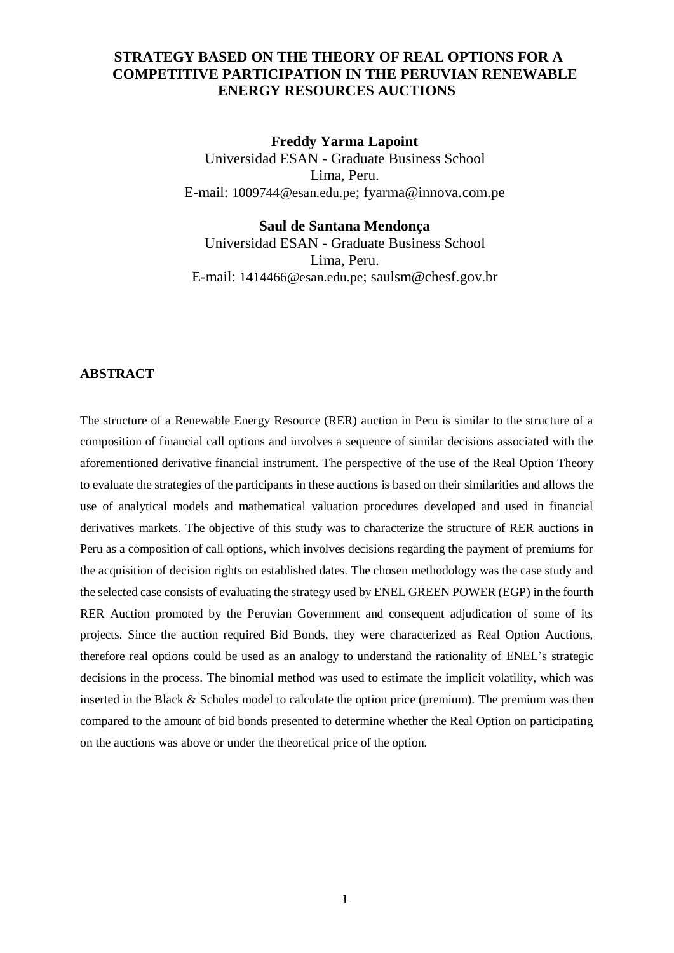# **STRATEGY BASED ON THE THEORY OF REAL OPTIONS FOR A COMPETITIVE PARTICIPATION IN THE PERUVIAN RENEWABLE ENERGY RESOURCES AUCTIONS**

**Freddy Yarma Lapoint** Universidad ESAN - Graduate Business School Lima, Peru. E-mail: [1009744@esan.edu.pe](mailto:1009744@esan.edu.pe); fyarma@innova.com.pe

#### **Saul de Santana Mendonça**

Universidad ESAN - Graduate Business School Lima, Peru. E-mail: [1414466@esan.edu.pe](mailto:1414466@esan.edu.pe); saulsm@chesf.gov.br

## **ABSTRACT**

The structure of a Renewable Energy Resource (RER) auction in Peru is similar to the structure of a composition of financial call options and involves a sequence of similar decisions associated with the aforementioned derivative financial instrument. The perspective of the use of the Real Option Theory to evaluate the strategies of the participants in these auctions is based on their similarities and allows the use of analytical models and mathematical valuation procedures developed and used in financial derivatives markets. The objective of this study was to characterize the structure of RER auctions in Peru as a composition of call options, which involves decisions regarding the payment of premiums for the acquisition of decision rights on established dates. The chosen methodology was the case study and the selected case consists of evaluating the strategy used by ENEL GREEN POWER (EGP) in the fourth RER Auction promoted by the Peruvian Government and consequent adjudication of some of its projects. Since the auction required Bid Bonds, they were characterized as Real Option Auctions, therefore real options could be used as an analogy to understand the rationality of ENEL's strategic decisions in the process. The binomial method was used to estimate the implicit volatility, which was inserted in the Black & Scholes model to calculate the option price (premium). The premium was then compared to the amount of bid bonds presented to determine whether the Real Option on participating on the auctions was above or under the theoretical price of the option.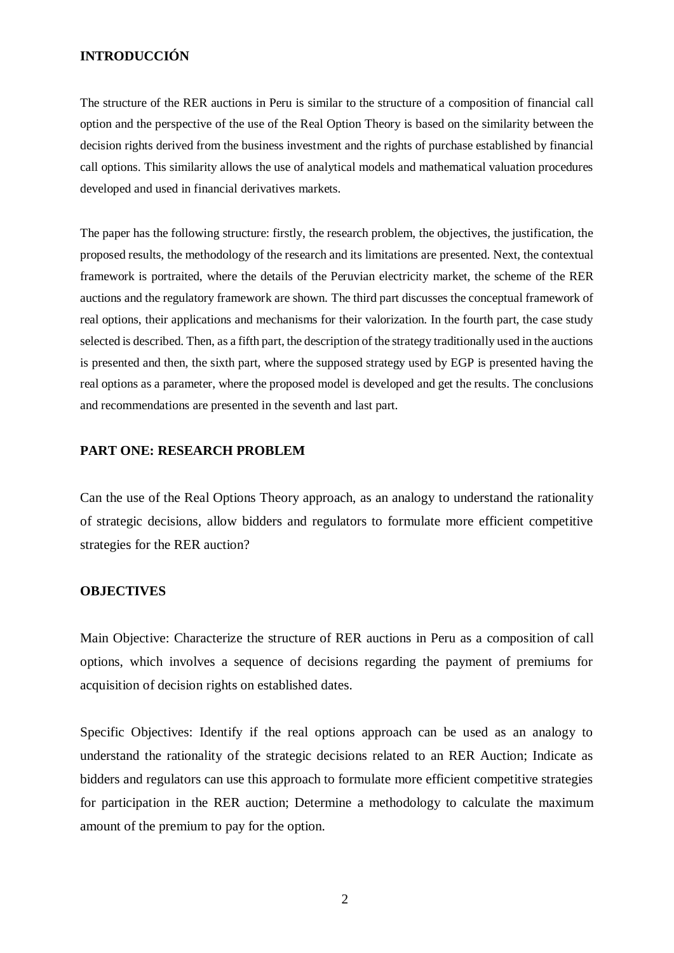# **INTRODUCCIÓN**

The structure of the RER auctions in Peru is similar to the structure of a composition of financial call option and the perspective of the use of the Real Option Theory is based on the similarity between the decision rights derived from the business investment and the rights of purchase established by financial call options. This similarity allows the use of analytical models and mathematical valuation procedures developed and used in financial derivatives markets.

The paper has the following structure: firstly, the research problem, the objectives, the justification, the proposed results, the methodology of the research and its limitations are presented. Next, the contextual framework is portraited, where the details of the Peruvian electricity market, the scheme of the RER auctions and the regulatory framework are shown. The third part discusses the conceptual framework of real options, their applications and mechanisms for their valorization. In the fourth part, the case study selected is described. Then, as a fifth part, the description of the strategy traditionally used in the auctions is presented and then, the sixth part, where the supposed strategy used by EGP is presented having the real options as a parameter, where the proposed model is developed and get the results. The conclusions and recommendations are presented in the seventh and last part.

### **PART ONE: RESEARCH PROBLEM**

Can the use of the Real Options Theory approach, as an analogy to understand the rationality of strategic decisions, allow bidders and regulators to formulate more efficient competitive strategies for the RER auction?

### **OBJECTIVES**

Main Objective: Characterize the structure of RER auctions in Peru as a composition of call options, which involves a sequence of decisions regarding the payment of premiums for acquisition of decision rights on established dates.

Specific Objectives: Identify if the real options approach can be used as an analogy to understand the rationality of the strategic decisions related to an RER Auction; Indicate as bidders and regulators can use this approach to formulate more efficient competitive strategies for participation in the RER auction; Determine a methodology to calculate the maximum amount of the premium to pay for the option.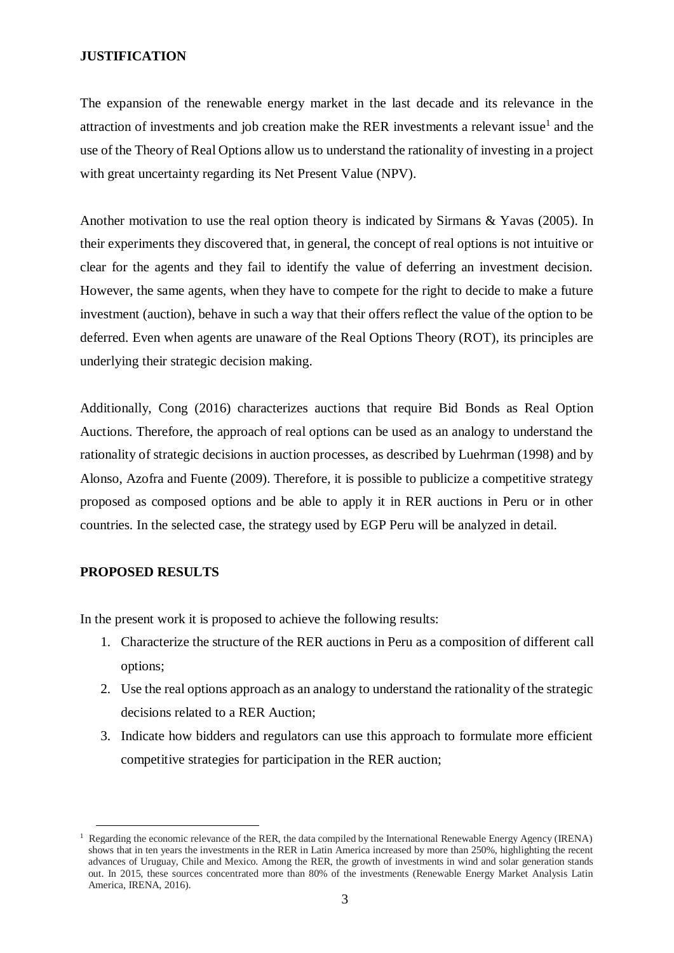## **JUSTIFICATION**

The expansion of the renewable energy market in the last decade and its relevance in the attraction of investments and job creation make the RER investments a relevant issue<sup>1</sup> and the use of the Theory of Real Options allow us to understand the rationality of investing in a project with great uncertainty regarding its Net Present Value (NPV).

Another motivation to use the real option theory is indicated by Sirmans & Yavas (2005). In their experiments they discovered that, in general, the concept of real options is not intuitive or clear for the agents and they fail to identify the value of deferring an investment decision. However, the same agents, when they have to compete for the right to decide to make a future investment (auction), behave in such a way that their offers reflect the value of the option to be deferred. Even when agents are unaware of the Real Options Theory (ROT), its principles are underlying their strategic decision making.

Additionally, Cong (2016) characterizes auctions that require Bid Bonds as Real Option Auctions. Therefore, the approach of real options can be used as an analogy to understand the rationality of strategic decisions in auction processes, as described by Luehrman (1998) and by Alonso, Azofra and Fuente (2009). Therefore, it is possible to publicize a competitive strategy proposed as composed options and be able to apply it in RER auctions in Peru or in other countries. In the selected case, the strategy used by EGP Peru will be analyzed in detail.

## **PROPOSED RESULTS**

 $\overline{a}$ 

In the present work it is proposed to achieve the following results:

- 1. Characterize the structure of the RER auctions in Peru as a composition of different call options;
- 2. Use the real options approach as an analogy to understand the rationality of the strategic decisions related to a RER Auction;
- 3. Indicate how bidders and regulators can use this approach to formulate more efficient competitive strategies for participation in the RER auction;

<sup>1</sup> Regarding the economic relevance of the RER, the data compiled by the International Renewable Energy Agency (IRENA) shows that in ten years the investments in the RER in Latin America increased by more than 250%, highlighting the recent advances of Uruguay, Chile and Mexico. Among the RER, the growth of investments in wind and solar generation stands out. In 2015, these sources concentrated more than 80% of the investments (Renewable Energy Market Analysis Latin America, IRENA, 2016).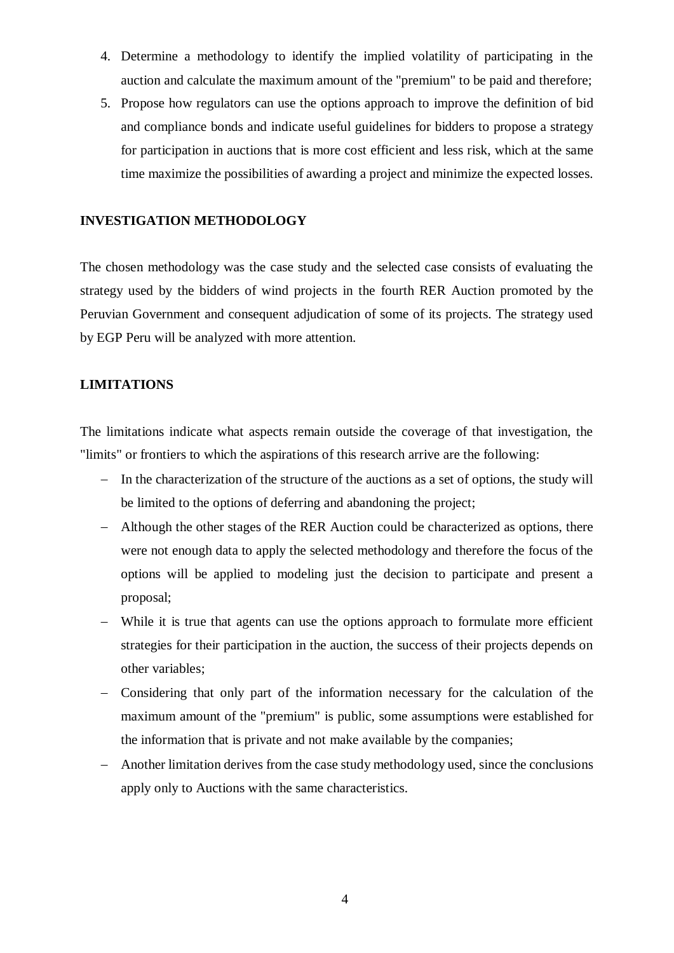- 4. Determine a methodology to identify the implied volatility of participating in the auction and calculate the maximum amount of the "premium" to be paid and therefore;
- 5. Propose how regulators can use the options approach to improve the definition of bid and compliance bonds and indicate useful guidelines for bidders to propose a strategy for participation in auctions that is more cost efficient and less risk, which at the same time maximize the possibilities of awarding a project and minimize the expected losses.

### **INVESTIGATION METHODOLOGY**

The chosen methodology was the case study and the selected case consists of evaluating the strategy used by the bidders of wind projects in the fourth RER Auction promoted by the Peruvian Government and consequent adjudication of some of its projects. The strategy used by EGP Peru will be analyzed with more attention.

## **LIMITATIONS**

The limitations indicate what aspects remain outside the coverage of that investigation, the "limits" or frontiers to which the aspirations of this research arrive are the following:

- − In the characterization of the structure of the auctions as a set of options, the study will be limited to the options of deferring and abandoning the project;
- − Although the other stages of the RER Auction could be characterized as options, there were not enough data to apply the selected methodology and therefore the focus of the options will be applied to modeling just the decision to participate and present a proposal;
- − While it is true that agents can use the options approach to formulate more efficient strategies for their participation in the auction, the success of their projects depends on other variables;
- − Considering that only part of the information necessary for the calculation of the maximum amount of the "premium" is public, some assumptions were established for the information that is private and not make available by the companies;
- − Another limitation derives from the case study methodology used, since the conclusions apply only to Auctions with the same characteristics.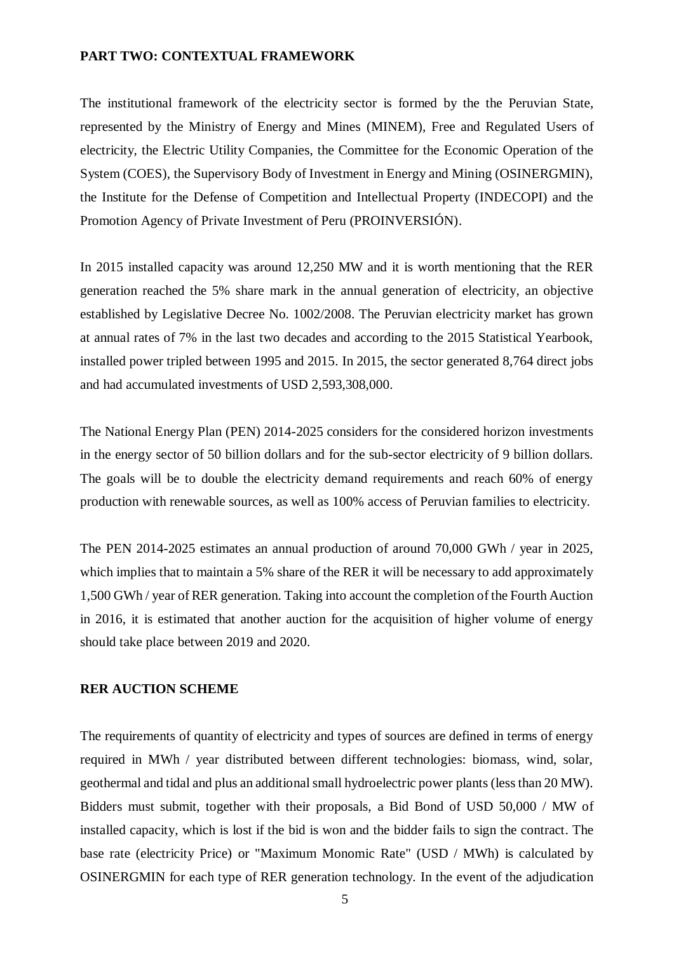### **PART TWO: CONTEXTUAL FRAMEWORK**

The institutional framework of the electricity sector is formed by the the Peruvian State, represented by the Ministry of Energy and Mines (MINEM), Free and Regulated Users of electricity, the Electric Utility Companies, the Committee for the Economic Operation of the System (COES), the Supervisory Body of Investment in Energy and Mining (OSINERGMIN), the Institute for the Defense of Competition and Intellectual Property (INDECOPI) and the Promotion Agency of Private Investment of Peru (PROINVERSIÓN).

In 2015 installed capacity was around 12,250 MW and it is worth mentioning that the RER generation reached the 5% share mark in the annual generation of electricity, an objective established by Legislative Decree No. 1002/2008. The Peruvian electricity market has grown at annual rates of 7% in the last two decades and according to the 2015 Statistical Yearbook, installed power tripled between 1995 and 2015. In 2015, the sector generated 8,764 direct jobs and had accumulated investments of USD 2,593,308,000.

The National Energy Plan (PEN) 2014-2025 considers for the considered horizon investments in the energy sector of 50 billion dollars and for the sub-sector electricity of 9 billion dollars. The goals will be to double the electricity demand requirements and reach 60% of energy production with renewable sources, as well as 100% access of Peruvian families to electricity.

The PEN 2014-2025 estimates an annual production of around 70,000 GWh / year in 2025, which implies that to maintain a 5% share of the RER it will be necessary to add approximately 1,500 GWh / year of RER generation. Taking into account the completion of the Fourth Auction in 2016, it is estimated that another auction for the acquisition of higher volume of energy should take place between 2019 and 2020.

### **RER AUCTION SCHEME**

The requirements of quantity of electricity and types of sources are defined in terms of energy required in MWh / year distributed between different technologies: biomass, wind, solar, geothermal and tidal and plus an additional small hydroelectric power plants (less than 20 MW). Bidders must submit, together with their proposals, a Bid Bond of USD 50,000 / MW of installed capacity, which is lost if the bid is won and the bidder fails to sign the contract. The base rate (electricity Price) or "Maximum Monomic Rate" (USD / MWh) is calculated by OSINERGMIN for each type of RER generation technology. In the event of the adjudication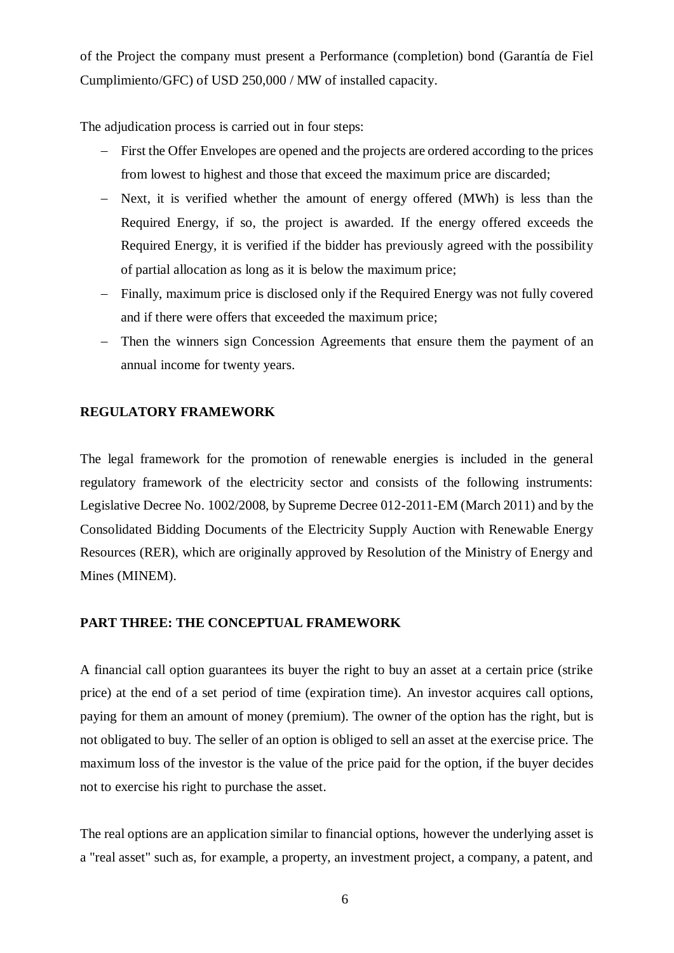of the Project the company must present a Performance (completion) bond (Garantía de Fiel Cumplimiento/GFC) of USD 250,000 / MW of installed capacity.

The adjudication process is carried out in four steps:

- − First the Offer Envelopes are opened and the projects are ordered according to the prices from lowest to highest and those that exceed the maximum price are discarded;
- − Next, it is verified whether the amount of energy offered (MWh) is less than the Required Energy, if so, the project is awarded. If the energy offered exceeds the Required Energy, it is verified if the bidder has previously agreed with the possibility of partial allocation as long as it is below the maximum price;
- − Finally, maximum price is disclosed only if the Required Energy was not fully covered and if there were offers that exceeded the maximum price;
- − Then the winners sign Concession Agreements that ensure them the payment of an annual income for twenty years.

# **REGULATORY FRAMEWORK**

The legal framework for the promotion of renewable energies is included in the general regulatory framework of the electricity sector and consists of the following instruments: Legislative Decree No. 1002/2008, by Supreme Decree 012-2011-EM (March 2011) and by the Consolidated Bidding Documents of the Electricity Supply Auction with Renewable Energy Resources (RER), which are originally approved by Resolution of the Ministry of Energy and Mines (MINEM).

## **PART THREE: THE CONCEPTUAL FRAMEWORK**

A financial call option guarantees its buyer the right to buy an asset at a certain price (strike price) at the end of a set period of time (expiration time). An investor acquires call options, paying for them an amount of money (premium). The owner of the option has the right, but is not obligated to buy. The seller of an option is obliged to sell an asset at the exercise price. The maximum loss of the investor is the value of the price paid for the option, if the buyer decides not to exercise his right to purchase the asset.

The real options are an application similar to financial options, however the underlying asset is a "real asset" such as, for example, a property, an investment project, a company, a patent, and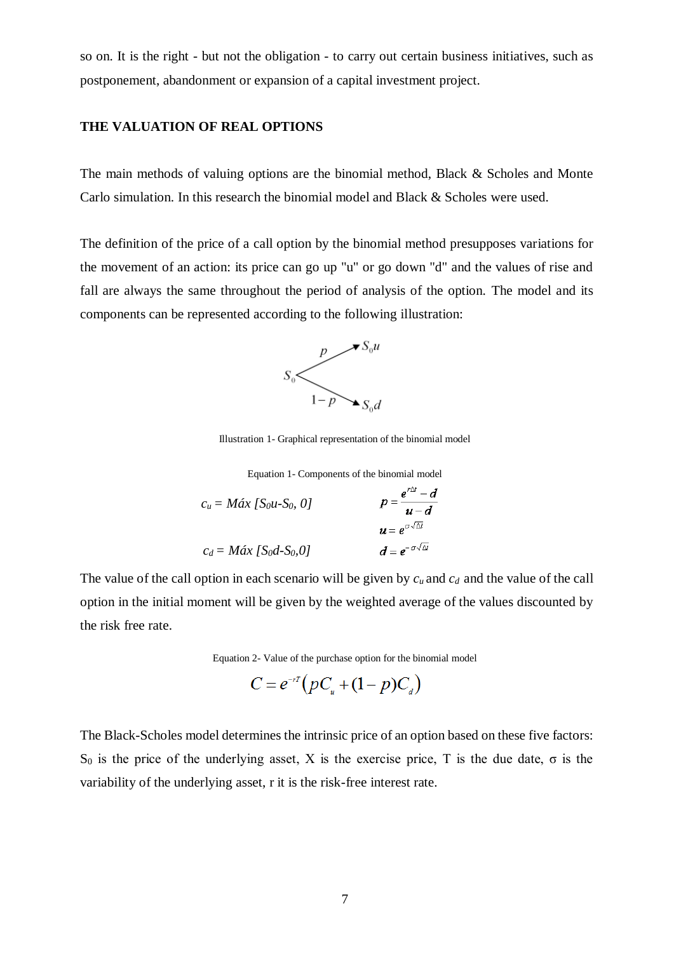so on. It is the right - but not the obligation - to carry out certain business initiatives, such as postponement, abandonment or expansion of a capital investment project.

### **THE VALUATION OF REAL OPTIONS**

The main methods of valuing options are the binomial method, Black & Scholes and Monte Carlo simulation. In this research the binomial model and Black & Scholes were used.

The definition of the price of a call option by the binomial method presupposes variations for the movement of an action: its price can go up "u" or go down "d" and the values of rise and fall are always the same throughout the period of analysis of the option. The model and its components can be represented according to the following illustration:



Illustration 1- Graphical representation of the binomial model

Equation 1- Components of the binomial model

$$
c_u = M\acute{a}x \ [Sou-S_0, 0] \qquad \qquad p = \frac{e^{r\Delta t} - d}{u - d}
$$
\n
$$
c_d = M\acute{a}x \ [Sod-S_0, 0] \qquad \qquad d = e^{-\sigma\sqrt{\Delta t}}
$$

The value of the call option in each scenario will be given by *cu* and *cd* and the value of the call option in the initial moment will be given by the weighted average of the values discounted by the risk free rate.

Equation 2- Value of the purchase option for the binomial model

$$
C = e^{-r} (pC_u + (1-p)C_d)
$$

The Black-Scholes model determines the intrinsic price of an option based on these five factors: S<sub>0</sub> is the price of the underlying asset, X is the exercise price, T is the due date, σ is the variability of the underlying asset, r it is the risk-free interest rate.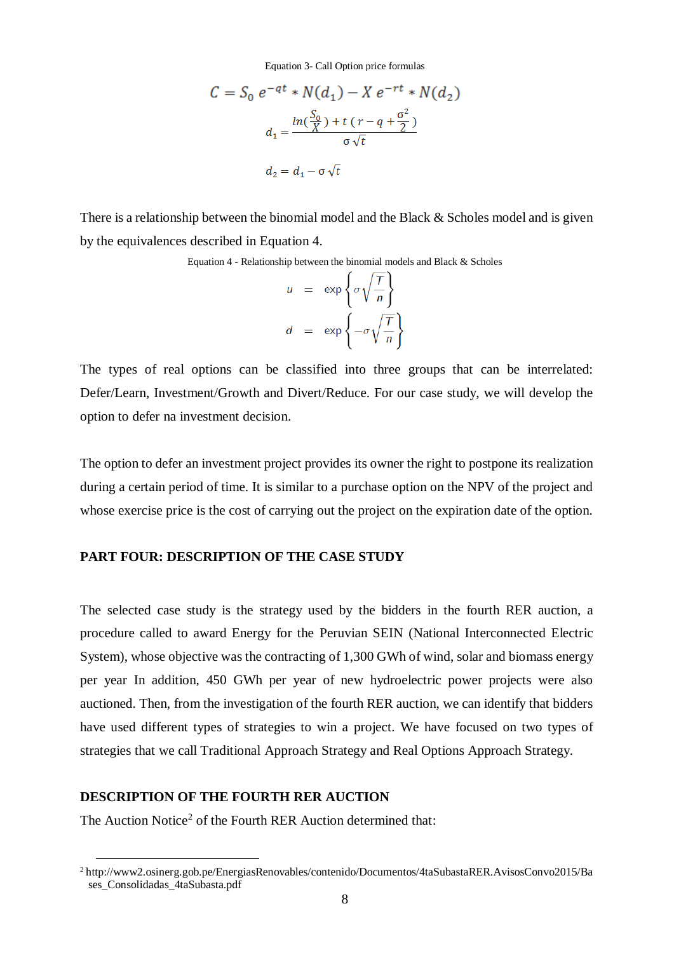Equation 3- Call Option price formulas

$$
C = S_0 e^{-qt} * N(d_1) - X e^{-rt} * N(d_2)
$$
  

$$
d_1 = \frac{\ln(\frac{S_0}{X}) + t (r - q + \frac{\sigma^2}{2})}{\sigma \sqrt{t}}
$$
  

$$
d_2 = d_1 - \sigma \sqrt{t}
$$

There is a relationship between the binomial model and the Black & Scholes model and is given by the equivalences described in Equation 4.

Equation 4 - Relationship between the binomial models and Black & Scholes

$$
u = \exp\left\{\sigma\sqrt{\frac{T}{n}}\right\}
$$

$$
d = \exp\left\{-\sigma\sqrt{\frac{T}{n}}\right\}
$$

The types of real options can be classified into three groups that can be interrelated: Defer/Learn, Investment/Growth and Divert/Reduce. For our case study, we will develop the option to defer na investment decision.

The option to defer an investment project provides its owner the right to postpone its realization during a certain period of time. It is similar to a purchase option on the NPV of the project and whose exercise price is the cost of carrying out the project on the expiration date of the option.

## **PART FOUR: DESCRIPTION OF THE CASE STUDY**

The selected case study is the strategy used by the bidders in the fourth RER auction, a procedure called to award Energy for the Peruvian SEIN (National Interconnected Electric System), whose objective was the contracting of 1,300 GWh of wind, solar and biomass energy per year In addition, 450 GWh per year of new hydroelectric power projects were also auctioned. Then, from the investigation of the fourth RER auction, we can identify that bidders have used different types of strategies to win a project. We have focused on two types of strategies that we call Traditional Approach Strategy and Real Options Approach Strategy.

### **DESCRIPTION OF THE FOURTH RER AUCTION**

 $\overline{a}$ 

The Auction Notice<sup>2</sup> of the Fourth RER Auction determined that:

<sup>2</sup> http://www2.osinerg.gob.pe/EnergiasRenovables/contenido/Documentos/4taSubastaRER.AvisosConvo2015/Ba ses\_Consolidadas\_4taSubasta.pdf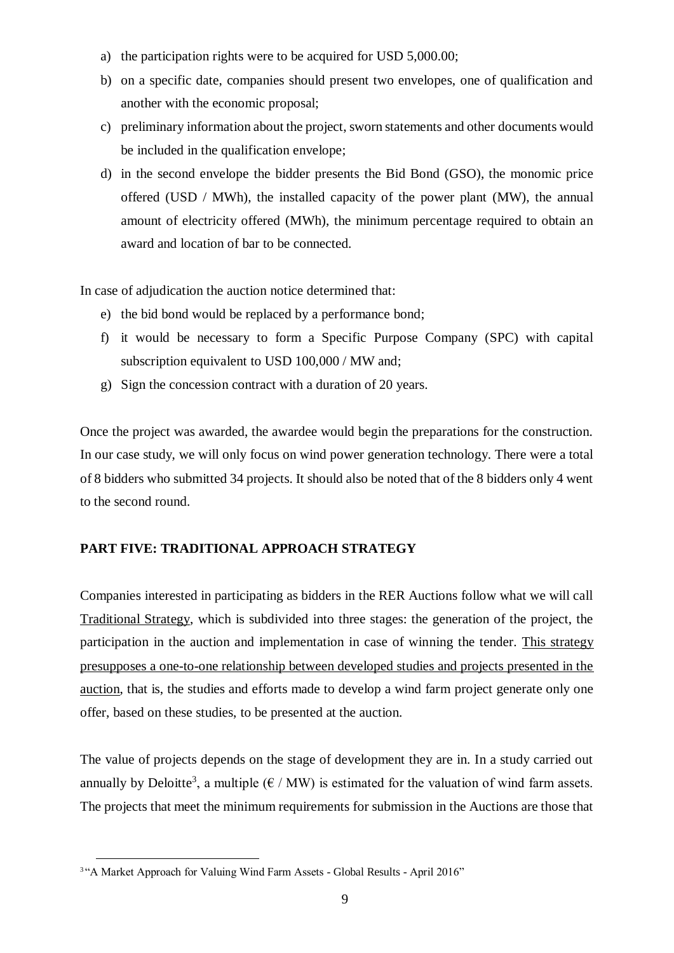- a) the participation rights were to be acquired for USD 5,000.00;
- b) on a specific date, companies should present two envelopes, one of qualification and another with the economic proposal;
- c) preliminary information about the project, sworn statements and other documents would be included in the qualification envelope;
- d) in the second envelope the bidder presents the Bid Bond (GSO), the monomic price offered (USD / MWh), the installed capacity of the power plant (MW), the annual amount of electricity offered (MWh), the minimum percentage required to obtain an award and location of bar to be connected.

In case of adjudication the auction notice determined that:

- e) the bid bond would be replaced by a performance bond;
- f) it would be necessary to form a Specific Purpose Company (SPC) with capital subscription equivalent to USD 100,000 / MW and;
- g) Sign the concession contract with a duration of 20 years.

Once the project was awarded, the awardee would begin the preparations for the construction. In our case study, we will only focus on wind power generation technology. There were a total of 8 bidders who submitted 34 projects. It should also be noted that of the 8 bidders only 4 went to the second round.

# **PART FIVE: TRADITIONAL APPROACH STRATEGY**

Companies interested in participating as bidders in the RER Auctions follow what we will call Traditional Strategy, which is subdivided into three stages: the generation of the project, the participation in the auction and implementation in case of winning the tender. This strategy presupposes a one-to-one relationship between developed studies and projects presented in the auction, that is, the studies and efforts made to develop a wind farm project generate only one offer, based on these studies, to be presented at the auction.

The value of projects depends on the stage of development they are in. In a study carried out annually by Deloitte<sup>3</sup>, a multiple  $(\epsilon / MW)$  is estimated for the valuation of wind farm assets. The projects that meet the minimum requirements for submission in the Auctions are those that

<sup>&</sup>lt;sup>3</sup>"A Market Approach for Valuing Wind Farm Assets - Global Results - April 2016"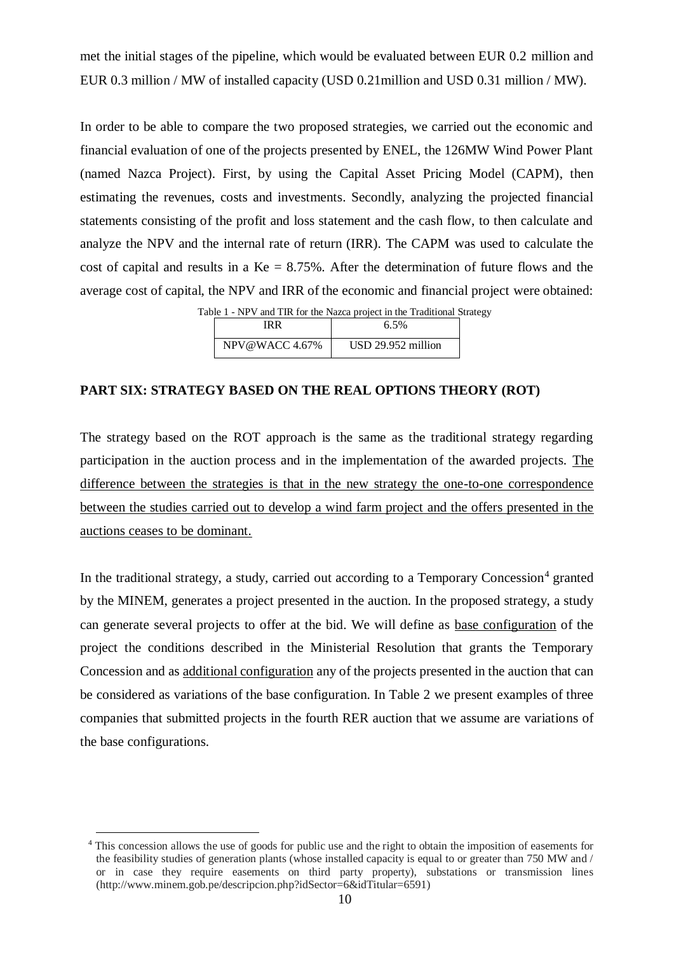met the initial stages of the pipeline, which would be evaluated between EUR 0.2 million and EUR 0.3 million / MW of installed capacity (USD 0.21million and USD 0.31 million / MW).

In order to be able to compare the two proposed strategies, we carried out the economic and financial evaluation of one of the projects presented by ENEL, the 126MW Wind Power Plant (named Nazca Project). First, by using the [Capital Asset Pricing Model \(CAPM\),](https://www.investopedia.com/terms/c/capm.asp) then estimating the revenues, costs and investments. Secondly, analyzing the projected financial statements consisting of the profit and loss statement and the cash flow, to then calculate and analyze the NPV and the internal rate of return (IRR). The CAPM was used to calculate the cost of capital and results in a  $Ke = 8.75\%$ . After the determination of future flows and the average cost of capital, the NPV and IRR of the economic and financial project were obtained:

Table 1 - NPV and TIR for the Nazca project in the Traditional Strategy

|               | 6.5%                 |
|---------------|----------------------|
| NPV@WACC4.67% | $USD$ 29.952 million |

### **PART SIX: STRATEGY BASED ON THE REAL OPTIONS THEORY (ROT)**

The strategy based on the ROT approach is the same as the traditional strategy regarding participation in the auction process and in the implementation of the awarded projects. The difference between the strategies is that in the new strategy the one-to-one correspondence between the studies carried out to develop a wind farm project and the offers presented in the auctions ceases to be dominant.

In the traditional strategy, a study, carried out according to a Temporary Concession<sup>4</sup> granted by the MINEM, generates a project presented in the auction. In the proposed strategy, a study can generate several projects to offer at the bid. We will define as base configuration of the project the conditions described in the Ministerial Resolution that grants the Temporary Concession and as additional configuration any of the projects presented in the auction that can be considered as variations of the base configuration. In Table 2 we present examples of three companies that submitted projects in the fourth RER auction that we assume are variations of the base configurations.

<sup>4</sup> This concession allows the use of goods for public use and the right to obtain the imposition of easements for the feasibility studies of generation plants (whose installed capacity is equal to or greater than 750 MW and / or in case they require easements on third party property), substations or transmission lines (http://www.minem.gob.pe/descripcion.php?idSector=6&idTitular=6591)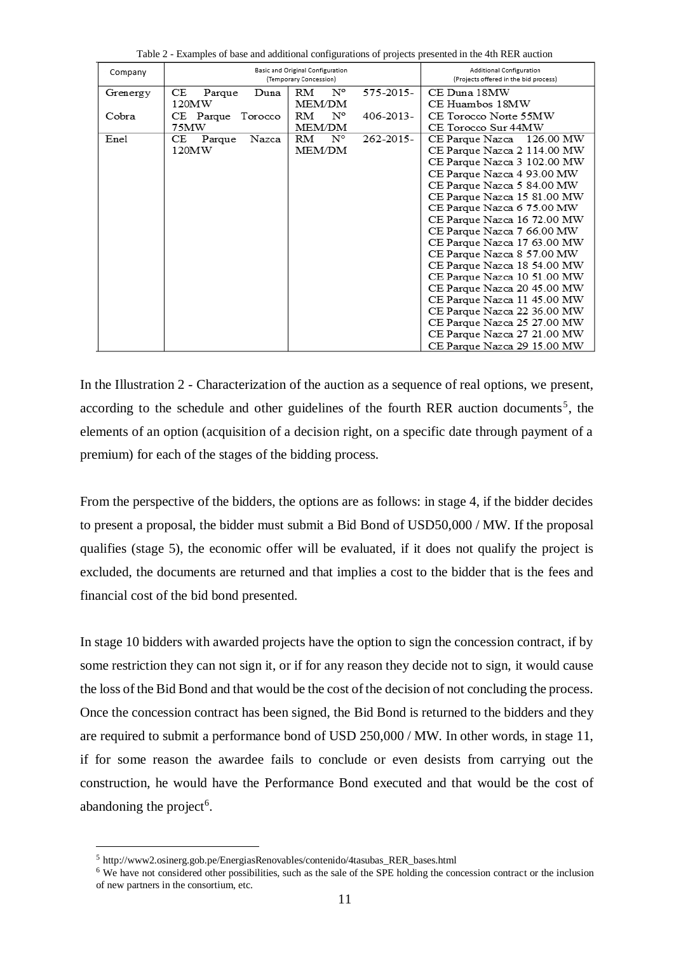| $\frac{1}{2}$ . The state of $\frac{1}{2}$ is the state of $\frac{1}{2}$ . The state of $\frac{1}{2}$ |                       |                                                            |                                                                   |                             |  |  |  |  |  |
|-------------------------------------------------------------------------------------------------------|-----------------------|------------------------------------------------------------|-------------------------------------------------------------------|-----------------------------|--|--|--|--|--|
| Company                                                                                               |                       | Basic and Original Configuration<br>(Temporary Concession) | Additional Configuration<br>(Projects offered in the bid process) |                             |  |  |  |  |  |
| Grenergy                                                                                              | CЕ<br>Duna<br>Parque  | $\mathrm{N}^\mathrm{o}$<br>RM                              | 575-2015-                                                         | CE Duna 18MW                |  |  |  |  |  |
|                                                                                                       | 120MW                 | <b>MEM/DM</b>                                              |                                                                   | CE Huambos 18MW             |  |  |  |  |  |
| Cobra                                                                                                 | CE Parque Torocco     | N°<br>RM                                                   | $406 - 2013 -$                                                    | CE Torocco Norte 55MW       |  |  |  |  |  |
|                                                                                                       | 75MW                  | MEM/DM                                                     |                                                                   | CE Torocco Sur 44MW         |  |  |  |  |  |
| Enel                                                                                                  | Parque<br>Nazca<br>CЕ | $\mathrm{N}^\circ$<br>RM                                   | $262 - 2015$                                                      | CE Parque Nazca 126.00 MW   |  |  |  |  |  |
|                                                                                                       | 120MW                 | MEM/DM                                                     |                                                                   | CE Parque Nazca 2 114.00 MW |  |  |  |  |  |
|                                                                                                       |                       |                                                            |                                                                   | CE Parque Nazca 3 102.00 MW |  |  |  |  |  |
|                                                                                                       |                       |                                                            |                                                                   | CE Parque Nazca 4 93.00 MW  |  |  |  |  |  |
|                                                                                                       |                       |                                                            |                                                                   | CE Parque Nazca 5 84.00 MW  |  |  |  |  |  |
|                                                                                                       |                       |                                                            |                                                                   | CE Parque Nazca 15 81.00 MW |  |  |  |  |  |
|                                                                                                       |                       |                                                            |                                                                   | CE Parque Nazca 6 75.00 MW  |  |  |  |  |  |
|                                                                                                       |                       |                                                            |                                                                   | CE Parque Nazca 16 72.00 MW |  |  |  |  |  |
|                                                                                                       |                       |                                                            |                                                                   | CE Parque Nazca 7 66.00 MW  |  |  |  |  |  |
|                                                                                                       |                       |                                                            |                                                                   | CE Parque Nazca 17 63.00 MW |  |  |  |  |  |
|                                                                                                       |                       |                                                            |                                                                   | CE Parque Nazca 8 57.00 MW  |  |  |  |  |  |
|                                                                                                       |                       |                                                            |                                                                   | CE Parque Nazca 18 54.00 MW |  |  |  |  |  |
|                                                                                                       |                       |                                                            |                                                                   | CE Parque Nazca 10 51.00 MW |  |  |  |  |  |
|                                                                                                       |                       |                                                            |                                                                   | CE Parque Nazca 20 45.00 MW |  |  |  |  |  |
|                                                                                                       |                       |                                                            |                                                                   | CE Parque Nazca 11 45.00 MW |  |  |  |  |  |
|                                                                                                       |                       |                                                            |                                                                   | CE Parque Nazca 22 36.00 MW |  |  |  |  |  |
|                                                                                                       |                       |                                                            |                                                                   | CE Parque Nazca 25 27.00 MW |  |  |  |  |  |
|                                                                                                       |                       |                                                            |                                                                   | CE Parque Nazca 27 21.00 MW |  |  |  |  |  |
|                                                                                                       |                       |                                                            |                                                                   | CE Parque Nazca 29 15.00 MW |  |  |  |  |  |

Table 2 - Examples of base and additional configurations of projects presented in the 4th RER auction

In the Illustration 2 - Characterization of the auction as a sequence of real options, we present, according to the schedule and other guidelines of the fourth RER auction documents<sup>5</sup>, the elements of an option (acquisition of a decision right, on a specific date through payment of a premium) for each of the stages of the bidding process.

From the perspective of the bidders, the options are as follows: in stage 4, if the bidder decides to present a proposal, the bidder must submit a Bid Bond of USD50,000 / MW. If the proposal qualifies (stage 5), the economic offer will be evaluated, if it does not qualify the project is excluded, the documents are returned and that implies a cost to the bidder that is the fees and financial cost of the bid bond presented.

In stage 10 bidders with awarded projects have the option to sign the concession contract, if by some restriction they can not sign it, or if for any reason they decide not to sign, it would cause the loss of the Bid Bond and that would be the cost of the decision of not concluding the process. Once the concession contract has been signed, the Bid Bond is returned to the bidders and they are required to submit a performance bond of USD 250,000 / MW. In other words, in stage 11, if for some reason the awardee fails to conclude or even desists from carrying out the construction, he would have the Performance Bond executed and that would be the cost of abandoning the project<sup>6</sup>.

<sup>&</sup>lt;sup>5</sup> http://www2.osinerg.gob.pe/EnergiasRenovables/contenido/4tasubas\_RER\_bases.html

<sup>&</sup>lt;sup>6</sup> We have not considered other possibilities, such as the sale of the SPE holding the concession contract or the inclusion of new partners in the consortium, etc.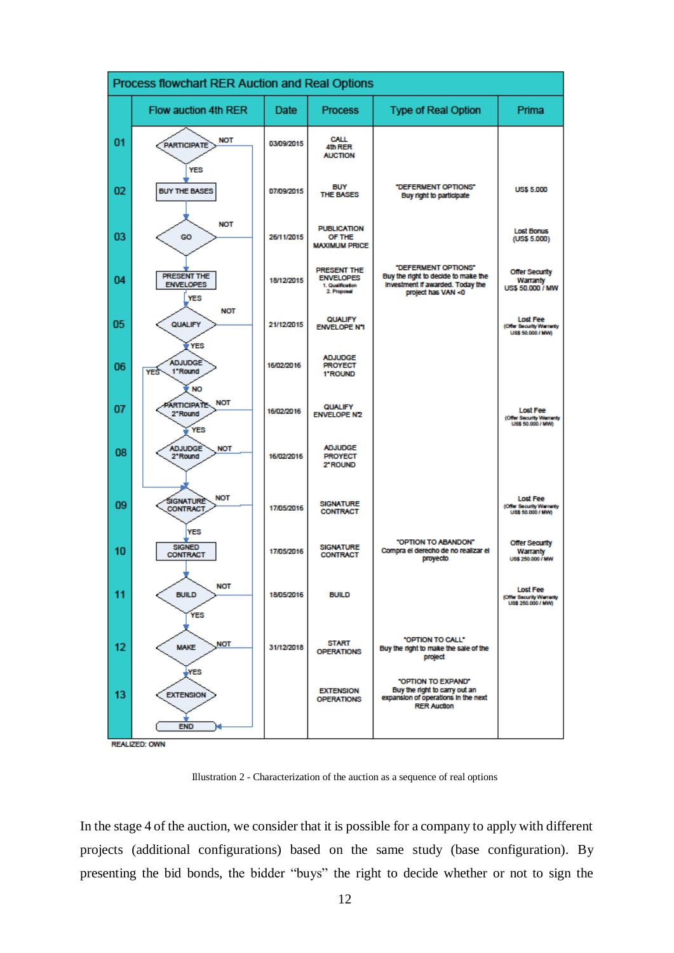|    | Process flowchart RER Auction and Real Options                  |            |                                                                           |                                                                                                                      |                                                                  |  |  |  |  |  |
|----|-----------------------------------------------------------------|------------|---------------------------------------------------------------------------|----------------------------------------------------------------------------------------------------------------------|------------------------------------------------------------------|--|--|--|--|--|
|    | Flow auction 4th RER                                            | Date       | <b>Process</b>                                                            | Type of Real Option                                                                                                  | Prima                                                            |  |  |  |  |  |
| 01 | <b>NOT</b><br><b>PARTICIPATE</b><br>YES                         | 03/09/2015 | CALL<br>4th RER<br><b>AUCTION</b>                                         |                                                                                                                      |                                                                  |  |  |  |  |  |
| 02 | <b>BUY THE BASES</b>                                            | 07/09/2015 | <b>BUY</b><br><b>THE BASES</b>                                            | "DEFERMENT OPTIONS"<br>Buy right to participate                                                                      | <b>US\$ 5.000</b>                                                |  |  |  |  |  |
| 03 | <b>NOT</b><br>GO                                                | 26/11/2015 | <b>PUBLICATION</b><br>OF THE<br><b>MAXIMUM PRICE</b>                      |                                                                                                                      | <b>Lost Bonus</b><br>(US\$ 5.000)                                |  |  |  |  |  |
| 04 | <b>PRESENT THE</b><br><b>ENVELOPES</b><br><b>YES</b>            | 18/12/2015 | <b>PRESENT THE</b><br><b>ENVELOPES</b><br>1. Qualification<br>2. Proposal | "DEFERMENT OPTIONS"<br>Buy the right to decide to make the<br>Investment if awarded. Today the<br>project has VAN <0 | <b>Offer Security</b><br>Warranty<br><b>US\$ 50,000 / MW</b>     |  |  |  |  |  |
| 05 | <b>NOT</b><br>QUALIFY                                           | 21/12/2015 | <b>QUALIFY</b><br><b>ENVELOPE N'1</b>                                     |                                                                                                                      | <b>Lost Fee</b><br>(Offer Security Warranty<br>US\$ 50,000 / MW) |  |  |  |  |  |
| 06 | <b>YES</b><br><b>ADJUDGE</b><br>*Round<br><b>YES</b>            | 16/02/2016 | <b>ADJUDGE</b><br><b>PROYECT</b><br>1"ROUND                               |                                                                                                                      |                                                                  |  |  |  |  |  |
| 07 | <b>NO</b><br><b>NOT</b><br><b>PARTICIPATE</b><br>2"Round<br>YES | 16/02/2016 | <b>QUALIFY</b><br><b>ENVELOPE N2</b>                                      |                                                                                                                      | <b>Lost Fee</b><br>(Offer Security Warranty<br>US\$ 50,000 / MW) |  |  |  |  |  |
| 08 | <b>ADJUDGE</b><br><b>NOT</b><br>2"Round                         | 16/02/2016 | <b>ADJUDGE</b><br><b>PROYECT</b><br>2" ROUND                              |                                                                                                                      |                                                                  |  |  |  |  |  |
| 09 | <b>NOT</b><br>SIGNATURE<br><b>CONTRACT</b>                      | 17/05/2016 | <b>SIGNATURE</b><br><b>CONTRACT</b>                                       |                                                                                                                      | <b>Lost Fee</b><br>(Offer Security Warranty<br>US\$ 50,000 / MW) |  |  |  |  |  |
| 10 | YES<br><b>SIGNED</b><br><b>CONTRACT</b>                         | 17/05/2016 | <b>SIGNATURE</b><br><b>CONTRACT</b>                                       | "OPTION TO ABANDON"<br>Compra el derecho de no realizar el<br>proyecto                                               | <b>Offer Security</b><br>Warranty<br>US\$ 250,000 / MW           |  |  |  |  |  |
| 11 | <b>NOT</b><br><b>BUILD</b>                                      | 18/05/2016 | <b>BUILD</b>                                                              |                                                                                                                      | Lost Fee<br>(Offer Security Warranty<br>US\$ 250,000 / MW)       |  |  |  |  |  |
| 12 | <b>YES</b><br><b>NOT</b><br><b>MAKE</b>                         | 31/12/2018 | <b>START</b><br><b>OPERATIONS</b>                                         | "OPTION TO CALL"<br>Buy the right to make the sale of the<br>project                                                 |                                                                  |  |  |  |  |  |
| 13 | YES<br><b>EXTENSION</b>                                         |            | <b>EXTENSION</b><br><b>OPERATIONS</b>                                     | "OPTION TO EXPAND"<br>Buy the right to carry out an<br>expansion of operations in the next<br><b>RER Auction</b>     |                                                                  |  |  |  |  |  |
|    | <b>END</b><br><b>DEALIZED: OWN</b>                              |            |                                                                           |                                                                                                                      |                                                                  |  |  |  |  |  |

<span id="page-11-0"></span>**REALIZED: OWN** 

Illustration 2 - Characterization of the auction as a sequence of real options

In the stage 4 of the auction, we consider that it is possible for a company to apply with different projects (additional configurations) based on the same study (base configuration). By presenting the bid bonds, the bidder "buys" the right to decide whether or not to sign the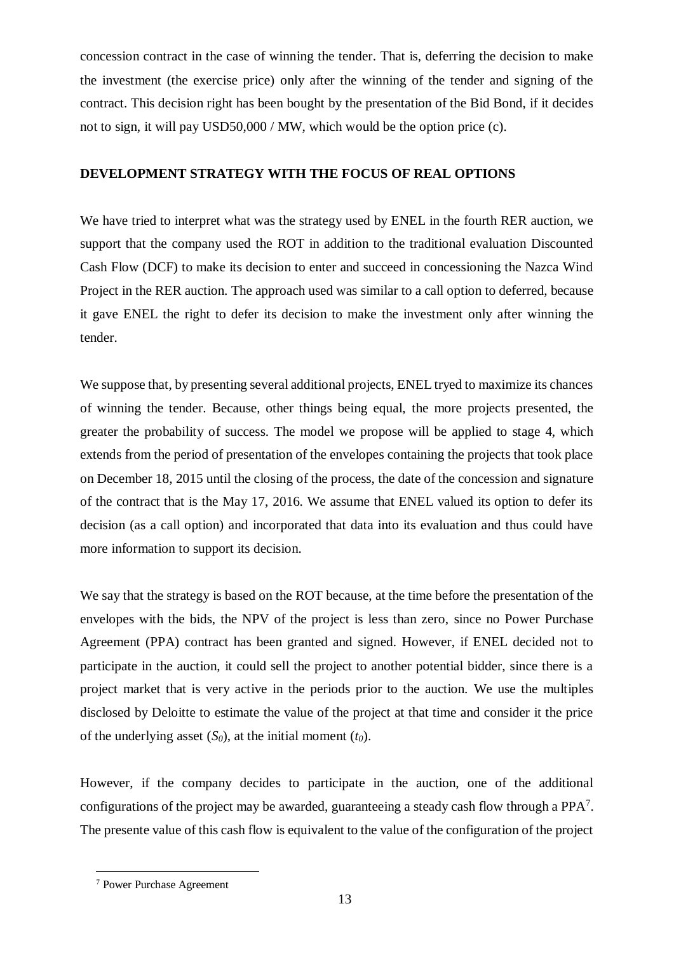concession contract in the case of winning the tender. That is, deferring the decision to make the investment (the exercise price) only after the winning of the tender and signing of the contract. This decision right has been bought by the presentation of the Bid Bond, if it decides not to sign, it will pay USD50,000 / MW, which would be the option price (c).

# **DEVELOPMENT STRATEGY WITH THE FOCUS OF REAL OPTIONS**

We have tried to interpret what was the strategy used by ENEL in the fourth RER auction, we support that the company used the ROT in addition to the traditional evaluation Discounted Cash Flow (DCF) to make its decision to enter and succeed in concessioning the Nazca Wind Project in the RER auction. The approach used was similar to a call option to deferred, because it gave ENEL the right to defer its decision to make the investment only after winning the tender.

We suppose that, by presenting several additional projects, ENEL tryed to maximize its chances of winning the tender. Because, other things being equal, the more projects presented, the greater the probability of success. The model we propose will be applied to stage 4, which extends from the period of presentation of the envelopes containing the projects that took place on December 18, 2015 until the closing of the process, the date of the concession and signature of the contract that is the May 17, 2016. We assume that ENEL valued its option to defer its decision (as a call option) and incorporated that data into its evaluation and thus could have more information to support its decision.

We say that the strategy is based on the ROT because, at the time before the presentation of the envelopes with the bids, the NPV of the project is less than zero, since no Power Purchase Agreement (PPA) contract has been granted and signed. However, if ENEL decided not to participate in the auction, it could sell the project to another potential bidder, since there is a project market that is very active in the periods prior to the auction. We use the multiples disclosed by Deloitte to estimate the value of the project at that time and consider it the price of the underlying asset  $(S_0)$ , at the initial moment  $(t_0)$ .

However, if the company decides to participate in the auction, one of the additional configurations of the project may be awarded, guaranteeing a steady cash flow through a  $PPA^7$ . The presente value of this cash flow is equivalent to the value of the configuration of the project

<sup>7</sup> Power Purchase Agreement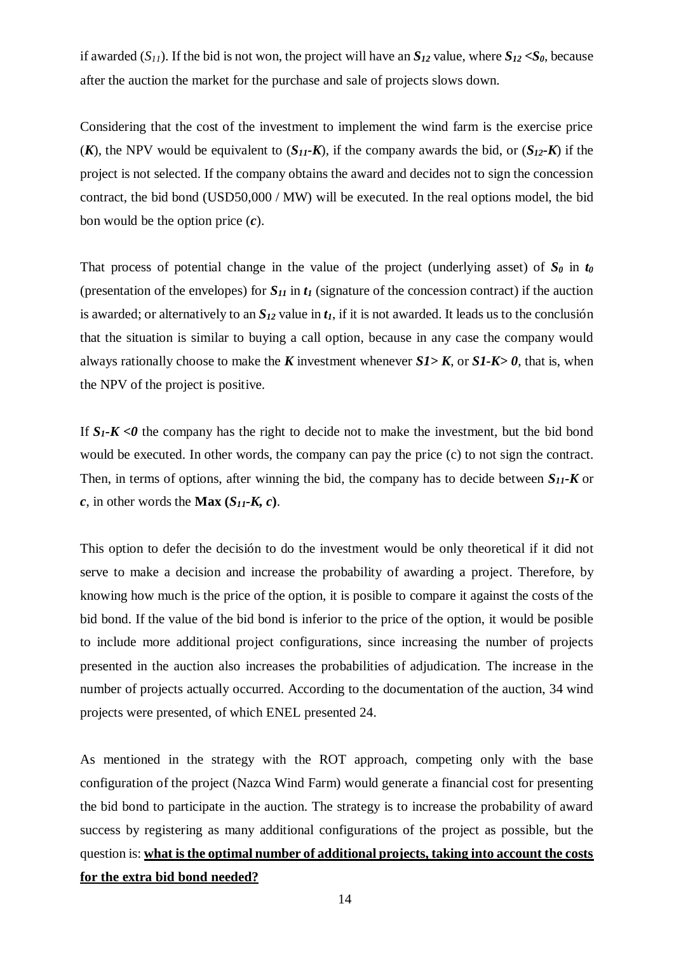if awarded  $(S_{11})$ . If the bid is not won, the project will have an  $S_{12}$  value, where  $S_{12} < S_0$ , because after the auction the market for the purchase and sale of projects slows down.

Considering that the cost of the investment to implement the wind farm is the exercise price (*K*), the NPV would be equivalent to  $(S_{11} - K)$ , if the company awards the bid, or  $(S_{12} - K)$  if the project is not selected. If the company obtains the award and decides not to sign the concession contract, the bid bond (USD50,000 / MW) will be executed. In the real options model, the bid bon would be the option price (*c*).

That process of potential change in the value of the project (underlying asset) of  $S_\theta$  in  $t_\theta$ (presentation of the envelopes) for  $S_{II}$  in  $t_I$  (signature of the concession contract) if the auction is awarded; or alternatively to an  $S_{12}$  value in  $t_1$ , if it is not awarded. It leads us to the conclusión that the situation is similar to buying a call option, because in any case the company would always rationally choose to make the *K* investment whenever *S1> K*, or *S1-K> 0*, that is, when the NPV of the project is positive.

If  $S_I$ -K <0 the company has the right to decide not to make the investment, but the bid bond would be executed. In other words, the company can pay the price (c) to not sign the contract. Then, in terms of options, after winning the bid, the company has to decide between *S11-K* or *c*, in other words the **Max**  $(S_{11}$ -K, *c*).

This option to defer the decisión to do the investment would be only theoretical if it did not serve to make a decision and increase the probability of awarding a project. Therefore, by knowing how much is the price of the option, it is posible to compare it against the costs of the bid bond. If the value of the bid bond is inferior to the price of the option, it would be posible to include more additional project configurations, since increasing the number of projects presented in the auction also increases the probabilities of adjudication. The increase in the number of projects actually occurred. According to the documentation of the auction, 34 wind projects were presented, of which ENEL presented 24.

As mentioned in the strategy with the ROT approach, competing only with the base configuration of the project (Nazca Wind Farm) would generate a financial cost for presenting the bid bond to participate in the auction. The strategy is to increase the probability of award success by registering as many additional configurations of the project as possible, but the question is: **what is the optimal number of additional projects, taking into account the costs for the extra bid bond needed?**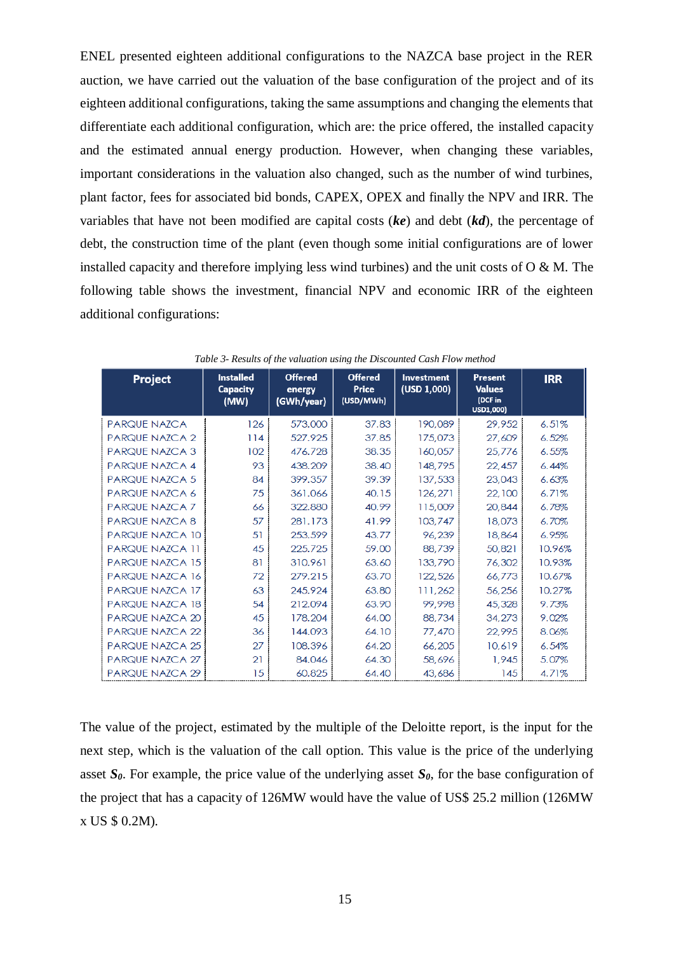ENEL presented eighteen additional configurations to the NAZCA base project in the RER auction, we have carried out the valuation of the base configuration of the project and of its eighteen additional configurations, taking the same assumptions and changing the elements that differentiate each additional configuration, which are: the price offered, the installed capacity and the estimated annual energy production. However, when changing these variables, important considerations in the valuation also changed, such as the number of wind turbines, plant factor, fees for associated bid bonds, CAPEX, OPEX and finally the NPV and IRR. The variables that have not been modified are capital costs (*ke*) and debt (*kd*), the percentage of debt, the construction time of the plant (even though some initial configurations are of lower installed capacity and therefore implying less wind turbines) and the unit costs of  $O \& M$ . The following table shows the investment, financial NPV and economic IRR of the eighteen additional configurations:

| Project                | <b>Installed</b><br><b>Capacity</b><br>(MW) | <b>Offered</b><br>energy<br>(GWh/year) | <b>Offered</b><br>Price<br>(USD/MWh) | Investment<br>(USD 1,000) | Present<br><b>Values</b><br>(DCF in<br>USD1,000) | <b>IRR</b> |
|------------------------|---------------------------------------------|----------------------------------------|--------------------------------------|---------------------------|--------------------------------------------------|------------|
| <b>PARQUE NAZCA</b>    | 126                                         | 573.000                                | 37.83                                | 190,089                   | 29,952                                           | 6.51%      |
| <b>PARQUE NAZCA 2</b>  | 114                                         | 527.925                                | 37.85                                | 175,073                   | 27,609                                           | 6.52%      |
| <b>PARQUE NAZCA 3</b>  | 102                                         | 476.728                                | 38.35                                | 160,057                   | 25,776                                           | 6.55%      |
| PARQUE NAZCA 4         | 93                                          | 438.209                                | 38.40                                | 148,795                   | 22,457                                           | 6.44%      |
| <b>PARQUE NAZCA 5</b>  | 84                                          | 399.357                                | 39.39                                | 137,533                   | 23,043                                           | 6.63%      |
| PARQUE NAZCA 6         | 75                                          | 361.066                                | 40.15                                | 126,271                   | 22,100                                           | 6.71%      |
| PARQUE NAZCA 7         | 66                                          | 322,880                                | 40.99                                | 115,009                   | 20,844                                           | 6.78%      |
| <b>PARQUE NAZCA 8</b>  | 57                                          | 281.173                                | 41.99                                | 103,747                   | 18,073                                           | 6.70%      |
| <b>PARQUE NAZCA 10</b> | 51                                          | 253.599                                | 43.77                                | 96,239                    | 18,864                                           | 6.95%      |
| <b>PARQUE NAZCA 11</b> | 45                                          | 225.725                                | 59.00                                | 88,739                    | 50,821                                           | 10.96%     |
| <b>PARQUE NAZCA 15</b> | 81                                          | 310.961                                | 63.60                                | 133,790                   | 76,302                                           | 10.93%     |
| <b>PARQUE NAZCA 16</b> | 72                                          | 279.215                                | 63.70                                | 122,526                   | 66,773                                           | 10.67%     |
| PARQUE NAZCA 17        | 63                                          | 245.924                                | 63.80                                | 111,262                   | 56,256                                           | 10.27%     |
| <b>PARQUE NAZCA 18</b> | 54                                          | 212.094                                | 63.90                                | 99,998                    | 45,328                                           | 9.73%      |
| PARQUE NAZCA 20        | 45                                          | 178.204                                | 64.00                                | 88,734                    | 34,273                                           | 9.02%      |
| PARQUE NAZCA 22        | 36                                          | 144.093                                | 64.10                                | 77,470                    | 22,995                                           | 8.06%      |
| <b>PARQUE NAZCA 25</b> | 27                                          | 108.396                                | 64.20                                | 66,205                    | 10,619                                           | 6.54%      |
| PARQUE NAZCA 27        | 21                                          | 84.046                                 | 64.30                                | 58,696                    | 1,945                                            | 5.07%      |
| PARQUE NAZCA 29        | 15                                          | 60.825                                 | 64.40                                | 43,686                    | 145                                              | 4.71%      |

*Table 3- Results of the valuation using the Discounted Cash Flow method*

The value of the project, estimated by the multiple of the Deloitte report, is the input for the next step, which is the valuation of the call option. This value is the price of the underlying asset  $S_\theta$ . For example, the price value of the underlying asset  $S_\theta$ , for the base configuration of the project that has a capacity of 126MW would have the value of US\$ 25.2 million (126MW x US \$ 0.2M).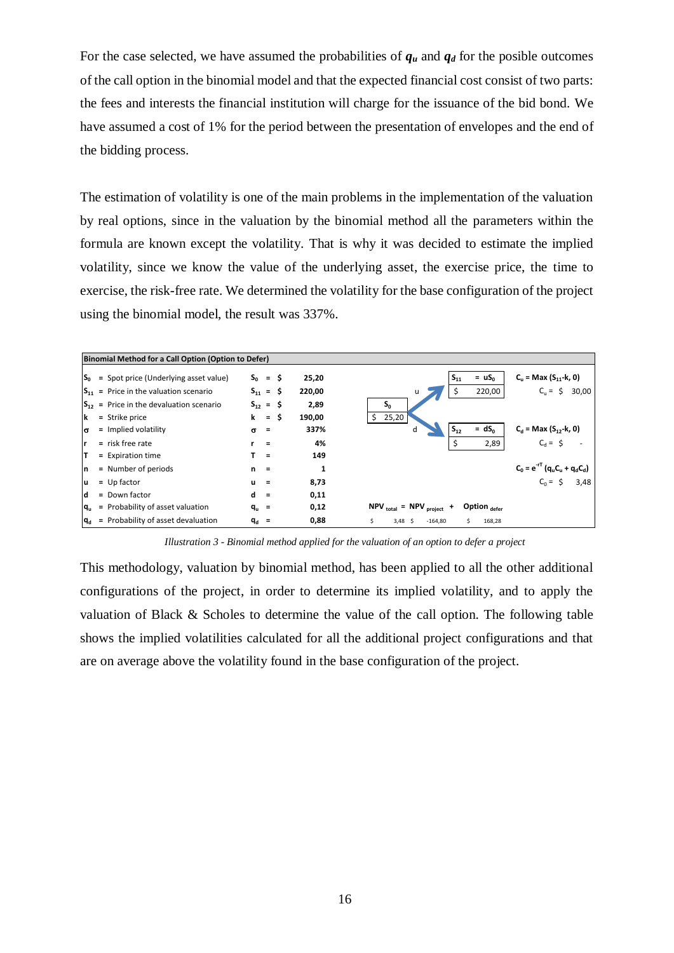For the case selected, we have assumed the probabilities of  $q_u$  and  $q_d$  for the posible outcomes of the call option in the binomial model and that the expected financial cost consist of two parts: the fees and interests the financial institution will charge for the issuance of the bid bond. We have assumed a cost of 1% for the period between the presentation of envelopes and the end of the bidding process.

The estimation of volatility is one of the main problems in the implementation of the valuation by real options, since in the valuation by the binomial method all the parameters within the formula are known except the volatility. That is why it was decided to estimate the implied volatility, since we know the value of the underlying asset, the exercise price, the time to exercise, the risk-free rate. We determined the volatility for the base configuration of the project using the binomial model, the result was 337%.



*Illustration 3 - Binomial method applied for the valuation of an option to defer a project*

This methodology, valuation by binomial method, has been applied to all the other additional configurations of the project, in order to determine its implied volatility, and to apply the valuation of Black & Scholes to determine the value of the call option. The following table shows the implied volatilities calculated for all the additional project configurations and that are on average above the volatility found in the base configuration of the project.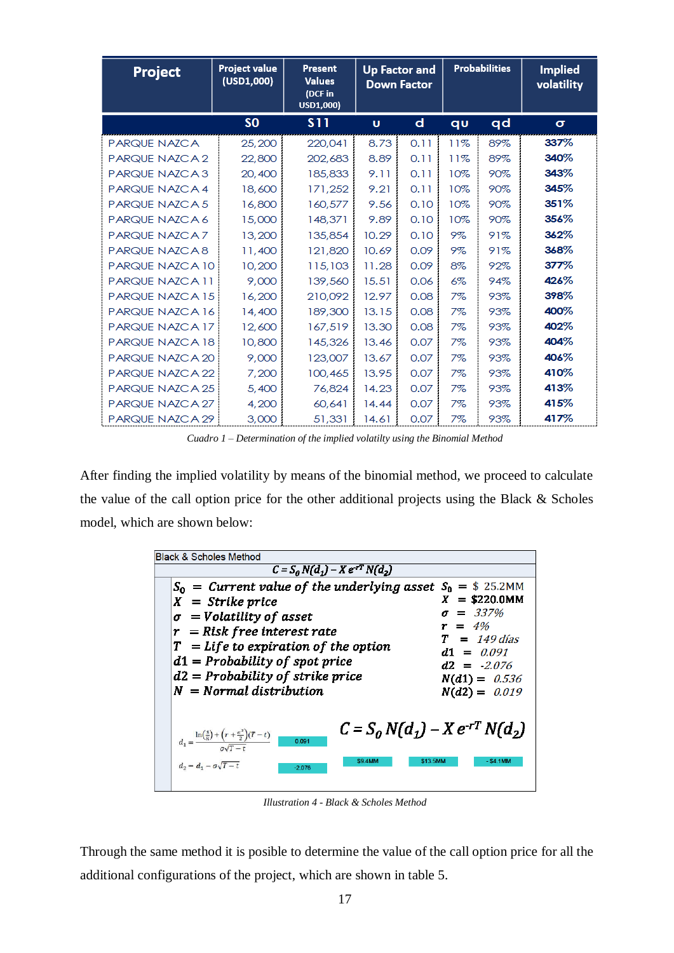| Project                | <b>Project value</b><br>(USD1,000) | <b>Present</b><br><b>Values</b><br>(DCF in<br>USD1,000) | <b>Up Factor and</b><br><b>Down Factor</b> |             | <b>Probabilities</b> |     | <b>Implied</b><br>volatility |
|------------------------|------------------------------------|---------------------------------------------------------|--------------------------------------------|-------------|----------------------|-----|------------------------------|
|                        | S <sub>O</sub>                     | <b>S11</b>                                              | Ù                                          | $\mathbf d$ | qu                   | qd  | $\sigma$                     |
| PARQUE NAZCA           | 25,200                             | 220,041                                                 | 8.73                                       | 0.11        | 11%                  | 89% | 337%                         |
| PARQUE NAZCA 2         | 22,800                             | 202,683                                                 | 8.89                                       | 0.11        | 11%                  | 89% | 340%                         |
| PARQUE NAZCA3          | 20,400                             | 185,833                                                 | 9.11                                       | 0.11        | 10%                  | 90% | 343%                         |
| PARQUE NAZCA 4         | 18,600                             | 171,252                                                 | 9.21                                       | 0.11        | 10%                  | 90% | 345%                         |
| PARQUE NAZCA 5         | 16,800                             | 160,577                                                 | 9.56                                       | 0.10        | 10%                  | 90% | 351%                         |
| PARQUE NAZCA 6         | 15,000                             | 148,371                                                 | 9.89                                       | 0.10        | 10%                  | 90% | 356%                         |
| PARQUE NAZCA 7         | 13,200                             | 135,854                                                 | 10.29                                      | 0.10        | 9%                   | 91% | 362%                         |
| PARQUE NAZCA8          | 11,400                             | 121,820                                                 | 10.69                                      | 0.09        | 9%                   | 91% | 368%                         |
| PARQUE NAZCA 10        | 10,200                             | 115,103                                                 | 11.28                                      | 0.09        | 8%                   | 92% | 377%                         |
| PARQUE NAZCA 11        | 9,000                              | 139,560                                                 | 15.51                                      | 0.06        | $6\%$                | 94% | 426%                         |
| PARQUE NAZCA 15        | 16,200                             | 210.092                                                 | 12.97                                      | 0.08        | 7%                   | 93% | 398%                         |
| PARQUE NAZCA 16        | 14,400                             | 189,300                                                 | 13.15                                      | 0.08        | 7%                   | 93% | 400%                         |
| PARQUE NAZCA 17        | 12,600                             | 167,519                                                 | 13.30                                      | 0.08        | 7%                   | 93% | 402%                         |
| PARQUE NAZCA 18        | 10,800                             | 145,326                                                 | 13.46                                      | 0.07        | 7%                   | 93% | 404%                         |
| PARQUE NAZCA 20        | 9,000                              | 123,007                                                 | 13.67                                      | 0.07        | 7%                   | 93% | 406%                         |
| <b>PARQUE NAZCA 22</b> | 7,200                              | 100,465                                                 | 13.95                                      | 0.07        | 7%                   | 93% | 410%                         |
| <b>PARQUE NAZCA 25</b> | 5,400                              | 76,824                                                  | 14.23                                      | 0.07        | 7%                   | 93% | 413%                         |
| PARQUE NAZCA 27        | 4,200                              | 60,641                                                  | 14.44                                      | 0.07        | 7%                   | 93% | 415%                         |
| PARQUE NAZCA 29        | 3,000                              | 51,331                                                  | 14.61                                      | 0.07        | 7%                   | 93% | 417%                         |

*Cuadro 1 – Determination of the implied volatilty using the Binomial Method*

After finding the implied volatility by means of the binomial method, we proceed to calculate the value of the call option price for the other additional projects using the Black & Scholes model, which are shown below:

| <b>Black &amp; Scholes Method</b>                                                                                                                                                                                                                                                           |                                                                                                                                                    |  |  |  |  |  |  |  |  |
|---------------------------------------------------------------------------------------------------------------------------------------------------------------------------------------------------------------------------------------------------------------------------------------------|----------------------------------------------------------------------------------------------------------------------------------------------------|--|--|--|--|--|--|--|--|
| $C = S_0 N(d_1) - X e^{rT} N(d_2)$                                                                                                                                                                                                                                                          |                                                                                                                                                    |  |  |  |  |  |  |  |  |
| $S_0 =$ Current value of the underlying asset<br>$X =$ Strike price<br>$\sigma = Volatility \ of \ asset$<br>$r =$ Risk free interest rate<br>$T = Life$ to expiration of the option<br>$d1 = Probability$ of spot price<br>$d2 = Probability$ of strike price<br>$N = Normal distribution$ | $S_0 = $ 25.2$ MM<br>$X = $220.0$ MM<br>$= 337%$<br>$= 4\%$<br>$= 149$ días<br>$d1 = 0.091$<br>$d2 = -2.076$<br>$N(d1) = 0.536$<br>$N(d2) = 0.019$ |  |  |  |  |  |  |  |  |
| $C = S_0 N(d_1) - X e^{-rT} N(d_2)$<br>$d_1 = \frac{\ln(\frac{s}{R}) + (r + \frac{\sigma^2}{2})(T-t)}{\sigma \sqrt{T-t}}$<br>0.091<br><b>\$9.4MM</b><br>\$13.5MM<br>$d_2 = d_1 - \sigma \sqrt{T-t}$<br>$-2.076$                                                                             | $-$ \$4.1MM                                                                                                                                        |  |  |  |  |  |  |  |  |

*Illustration 4 - Black & Scholes Method*

Through the same method it is posible to determine the value of the call option price for all the additional configurations of the project, which are shown in table 5.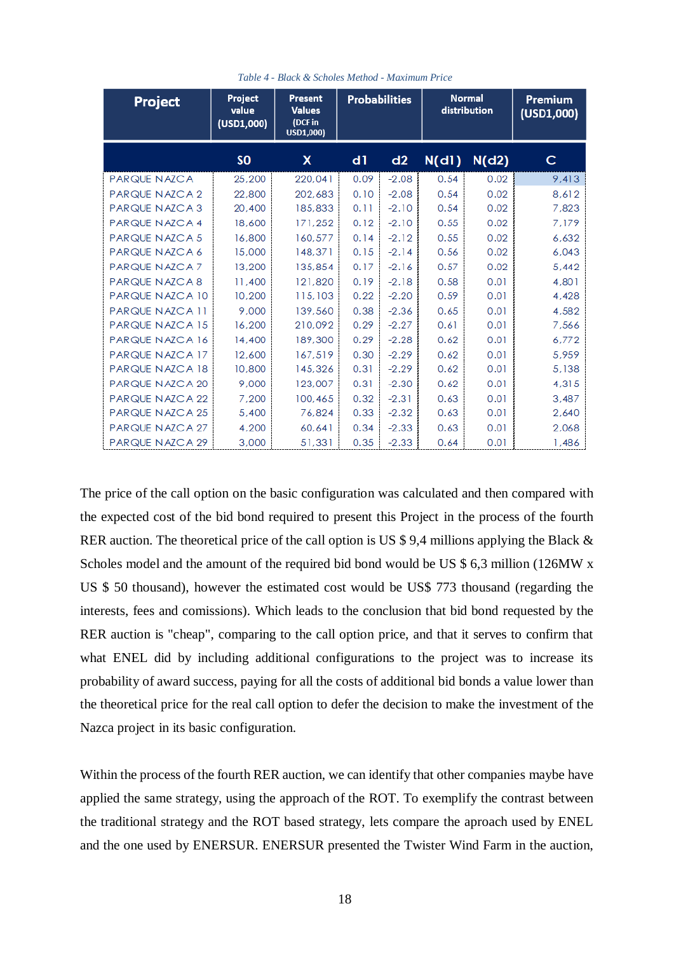| Project               | Project<br>value<br>(USD1,000) | Present<br><b>Values</b><br>(DCF in<br>USD1,000) | <b>Probabilities</b> |         | <b>Normal</b><br>distribution |       | Premium<br>(USD1,000) |
|-----------------------|--------------------------------|--------------------------------------------------|----------------------|---------|-------------------------------|-------|-----------------------|
|                       | S <sub>0</sub>                 | <b>X</b>                                         | d1                   | d2      | N(d1)                         | N(d2) | с                     |
| PARQUE NAZCA          | 25,200                         | 220,041                                          | 0.09                 | $-2.08$ | 0.54                          | 0.02  | 9,413                 |
| PARQUE NAZCA 2        | 22,800                         | 202,683                                          | 0.10                 | $-2.08$ | 0.54                          | 0.02  | 8.612                 |
| PARQUE NAZCA 3        | 20,400                         | 185,833                                          | 0.11                 | $-2.10$ | 0.54                          | 0.02  | 7,823                 |
| PARQUE NAZCA 4        | 18,600                         | 171,252                                          | 0.12                 | $-2.10$ | 0.55                          | 0.02  | 7,179                 |
| <b>PARQUE NAZCA 5</b> | 16,800                         | 160,577                                          | 0.14                 | $-2.12$ | 0.55                          | 0.02  | 6,632                 |
| PARQUE NAZCA 6        | 15,000                         | 148,371                                          | 0.15                 | $-2.14$ | 0.56                          | 0.02  | 6,043                 |
| PARQUE NAZCA 7        | 13,200                         | 135,854                                          | 0.17                 | $-2.16$ | 0.57                          | 0.02  | 5,442                 |
| PARQUE NAZCA 8        | 11,400                         | 121,820                                          | 0.19                 | $-2.18$ | 0.58                          | 0.01  | 4,801                 |
| PARQUE NAZCA 10       | 10,200                         | 115,103                                          | 0.22                 | $-2.20$ | 0.59                          | 0.01  | 4,428                 |
| PARQUE NAZCA 11       | 9.000                          | 139,560                                          | 0.38                 | $-2.36$ | 0.65                          | 0.01  | 4,582                 |
| PARQUE NAZCA 15       | 16,200                         | 210,092                                          | 0.29                 | $-2.27$ | 0.61                          | 0.01  | 7,566                 |
| PARQUE NAZCA 16       | 14,400                         | 189,300                                          | 0.29                 | $-2.28$ | 0.62                          | 0.01  | 6,772                 |
| PARQUE NAZCA 17       | 12,600                         | 167,519                                          | 0.30                 | $-2.29$ | 0.62                          | 0.01  | 5,959                 |
| PARQUE NAZCA 18       | 10,800                         | 145,326                                          | 0.31                 | $-2.29$ | 0.62                          | 0.01  | 5,138                 |
| PARQUE NAZCA 20       | 9,000                          | 123,007                                          | 0.31                 | $-2.30$ | 0.62                          | 0.01  | 4,315                 |
| PARQUE NAZCA 22       | 7,200                          | 100,465                                          | 0.32                 | $-2.31$ | 0.63                          | 0.01  | 3,487                 |
| PARQUE NAZCA 25       | 5,400                          | 76,824                                           | 0.33                 | $-2.32$ | 0.63                          | 0.01  | 2,640                 |
| PARQUE NAZCA 27       | 4,200                          | 60,641                                           | 0.34                 | $-2.33$ | 0.63                          | 0.01  | 2,068                 |
| PARQUE NAZCA 29       | 3,000                          | 51,331                                           | 0.35                 | $-2.33$ | 0.64                          | 0.01  | 1,486                 |

*Table 4 - Black & Scholes Method - Maximum Price*

The price of the call option on the basic configuration was calculated and then compared with the expected cost of the bid bond required to present this Project in the process of the fourth RER auction. The theoretical price of the call option is US \$9,4 millions applying the Black & Scholes model and the amount of the required bid bond would be US \$ 6.3 million (126MW x US \$ 50 thousand), however the estimated cost would be US\$ 773 thousand (regarding the interests, fees and comissions). Which leads to the conclusion that bid bond requested by the RER auction is "cheap", comparing to the call option price, and that it serves to confirm that what ENEL did by including additional configurations to the project was to increase its probability of award success, paying for all the costs of additional bid bonds a value lower than the theoretical price for the real call option to defer the decision to make the investment of the Nazca project in its basic configuration.

Within the process of the fourth RER auction, we can identify that other companies maybe have applied the same strategy, using the approach of the ROT. To exemplify the contrast between the traditional strategy and the ROT based strategy, lets compare the aproach used by ENEL and the one used by ENERSUR. ENERSUR presented the Twister Wind Farm in the auction,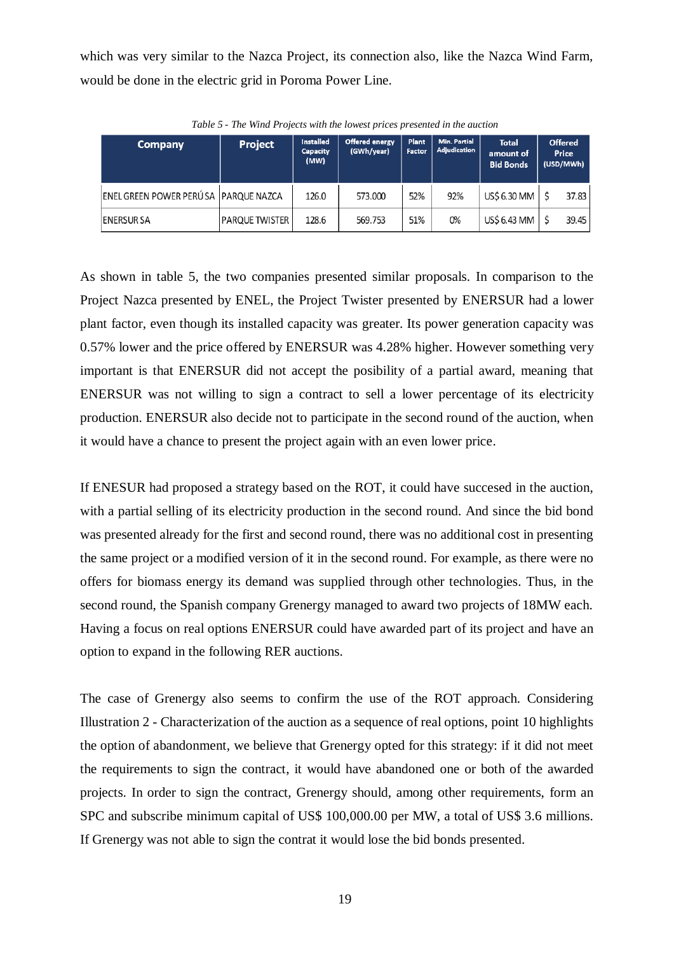which was very similar to the Nazca Project, its connection also, like the Nazca Wind Farm, would be done in the electric grid in Poroma Power Line.

| <b>Company</b>                       | Project               | <b>Installed</b><br><b>Capacity</b><br>(MW) | Offered energy<br>(GWh/year) | <b>Plant</b><br>Factor | <b>Min. Partial</b><br>Adjudication | <b>Total</b><br>amount of<br><b>Bid Bonds</b> | Offered<br>Price<br>(USD/MWh) |  |
|--------------------------------------|-----------------------|---------------------------------------------|------------------------------|------------------------|-------------------------------------|-----------------------------------------------|-------------------------------|--|
| ENEL GREEN POWER PERÚSA PARQUE NAZCA |                       | 126.0                                       | 573.000                      | 52%                    | 92%                                 | US\$ 6.30 MM                                  | 37.83                         |  |
| <b>ENERSUR SA</b>                    | <b>PARQUE TWISTER</b> | 128.6                                       | 569.753                      | 51%                    | 0%                                  | US\$ 6.43 MM                                  | 39.45                         |  |

*Table 5 - The Wind Projects with the lowest prices presented in the auction*

As shown in table 5, the two companies presented similar proposals. In comparison to the Project Nazca presented by ENEL, the Project Twister presented by ENERSUR had a lower plant factor, even though its installed capacity was greater. Its power generation capacity was 0.57% lower and the price offered by ENERSUR was 4.28% higher. However something very important is that ENERSUR did not accept the posibility of a partial award, meaning that ENERSUR was not willing to sign a contract to sell a lower percentage of its electricity production. ENERSUR also decide not to participate in the second round of the auction, when it would have a chance to present the project again with an even lower price.

If ENESUR had proposed a strategy based on the ROT, it could have succesed in the auction, with a partial selling of its electricity production in the second round. And since the bid bond was presented already for the first and second round, there was no additional cost in presenting the same project or a modified version of it in the second round. For example, as there were no offers for biomass energy its demand was supplied through other technologies. Thus, in the second round, the Spanish company Grenergy managed to award two projects of 18MW each. Having a focus on real options ENERSUR could have awarded part of its project and have an option to expand in the following RER auctions.

The case of Grenergy also seems to confirm the use of the ROT approach. Considering Illustration 2 - [Characterization of the auction as a sequence of real options,](#page-11-0) point 10 highlights the option of abandonment, we believe that Grenergy opted for this strategy: if it did not meet the requirements to sign the contract, it would have abandoned one or both of the awarded projects. In order to sign the contract, Grenergy should, among other requirements, form an SPC and subscribe minimum capital of US\$ 100,000.00 per MW, a total of US\$ 3.6 millions. If Grenergy was not able to sign the contrat it would lose the bid bonds presented.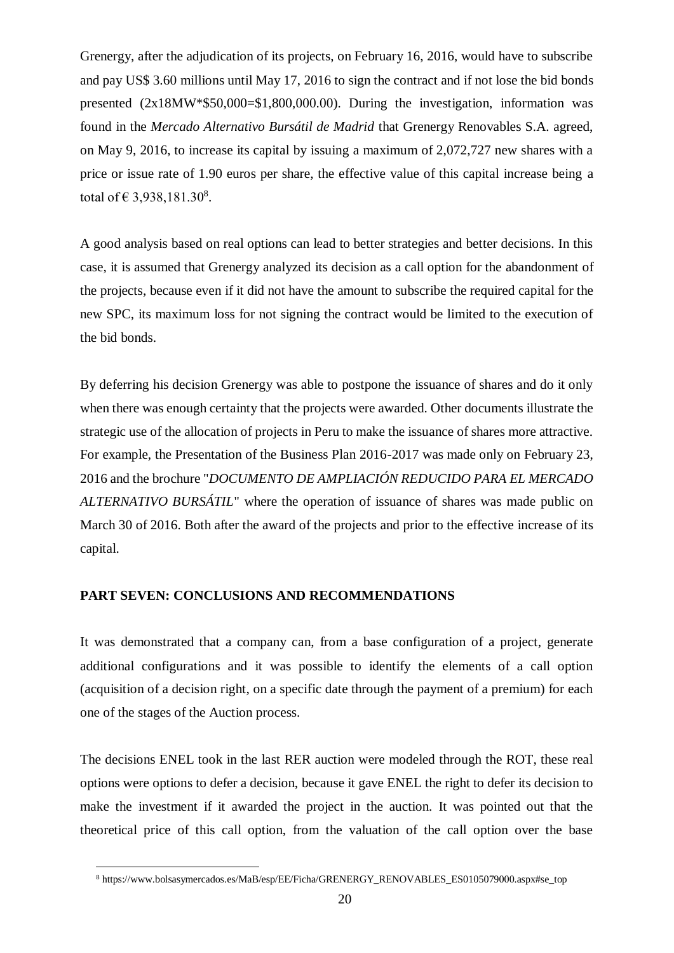Grenergy, after the adjudication of its projects, on February 16, 2016, would have to subscribe and pay US\$ 3.60 millions until May 17, 2016 to sign the contract and if not lose the bid bonds presented (2x18MW\*\$50,000=\$1,800,000.00). During the investigation, information was found in the *Mercado Alternativo Bursátil de Madrid* that Grenergy Renovables S.A. agreed, on May 9, 2016, to increase its capital by issuing a maximum of 2,072,727 new shares with a price or issue rate of 1.90 euros per share, the effective value of this capital increase being a total of € 3,938,181.30<sup>8</sup>.

A good analysis based on real options can lead to better strategies and better decisions. In this case, it is assumed that Grenergy analyzed its decision as a call option for the abandonment of the projects, because even if it did not have the amount to subscribe the required capital for the new SPC, its maximum loss for not signing the contract would be limited to the execution of the bid bonds.

By deferring his decision Grenergy was able to postpone the issuance of shares and do it only when there was enough certainty that the projects were awarded. Other documents illustrate the strategic use of the allocation of projects in Peru to make the issuance of shares more attractive. For example, the Presentation of the Business Plan 2016-2017 was made only on February 23, 2016 and the brochure "*DOCUMENTO DE AMPLIACIÓN REDUCIDO PARA EL MERCADO ALTERNATIVO BURSÁTIL*" where the operation of issuance of shares was made public on March 30 of 2016. Both after the award of the projects and prior to the effective increase of its capital.

## **PART SEVEN: CONCLUSIONS AND RECOMMENDATIONS**

 $\overline{a}$ 

It was demonstrated that a company can, from a base configuration of a project, generate additional configurations and it was possible to identify the elements of a call option (acquisition of a decision right, on a specific date through the payment of a premium) for each one of the stages of the Auction process.

The decisions ENEL took in the last RER auction were modeled through the ROT, these real options were options to defer a decision, because it gave ENEL the right to defer its decision to make the investment if it awarded the project in the auction. It was pointed out that the theoretical price of this call option, from the valuation of the call option over the base

<sup>8</sup> https://www.bolsasymercados.es/MaB/esp/EE/Ficha/GRENERGY\_RENOVABLES\_ES0105079000.aspx#se\_top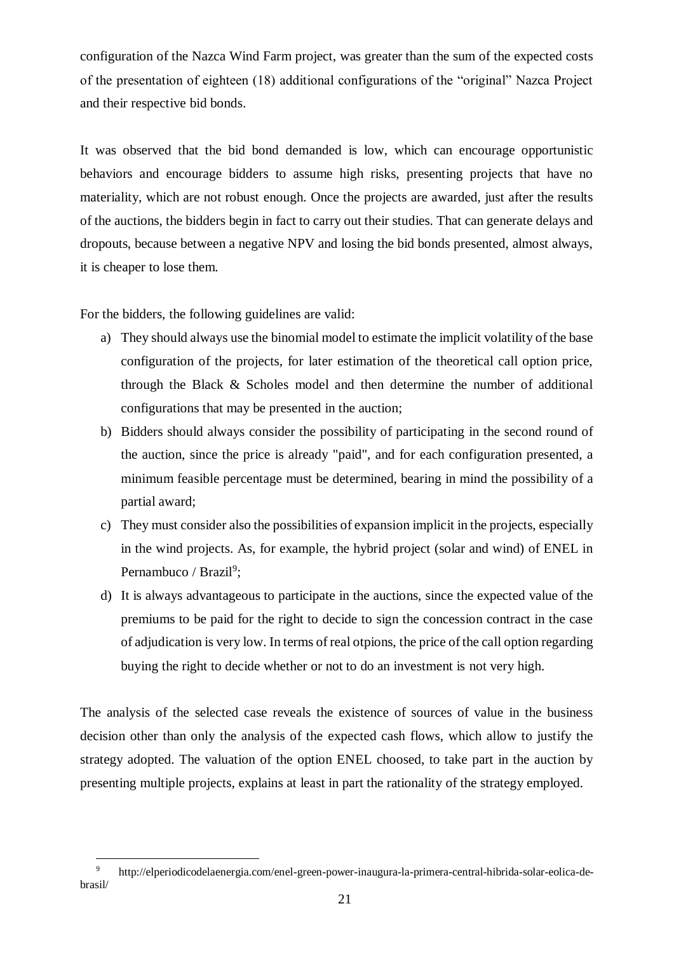configuration of the Nazca Wind Farm project, was greater than the sum of the expected costs of the presentation of eighteen (18) additional configurations of the "original" Nazca Project and their respective bid bonds.

It was observed that the bid bond demanded is low, which can encourage opportunistic behaviors and encourage bidders to assume high risks, presenting projects that have no materiality, which are not robust enough. Once the projects are awarded, just after the results of the auctions, the bidders begin in fact to carry out their studies. That can generate delays and dropouts, because between a negative NPV and losing the bid bonds presented, almost always, it is cheaper to lose them.

For the bidders, the following guidelines are valid:

 $\overline{a}$ 

- a) They should always use the binomial model to estimate the implicit volatility of the base configuration of the projects, for later estimation of the theoretical call option price, through the Black & Scholes model and then determine the number of additional configurations that may be presented in the auction;
- b) Bidders should always consider the possibility of participating in the second round of the auction, since the price is already "paid", and for each configuration presented, a minimum feasible percentage must be determined, bearing in mind the possibility of a partial award;
- c) They must consider also the possibilities of expansion implicit in the projects, especially in the wind projects. As, for example, the hybrid project (solar and wind) of ENEL in Pernambuco / Brazil<sup>9</sup>;
- d) It is always advantageous to participate in the auctions, since the expected value of the premiums to be paid for the right to decide to sign the concession contract in the case of adjudication is very low. In terms of real otpions, the price of the call option regarding buying the right to decide whether or not to do an investment is not very high.

The analysis of the selected case reveals the existence of sources of value in the business decision other than only the analysis of the expected cash flows, which allow to justify the strategy adopted. The valuation of the option ENEL choosed, to take part in the auction by presenting multiple projects, explains at least in part the rationality of the strategy employed.

<sup>9</sup> http://elperiodicodelaenergia.com/enel-green-power-inaugura-la-primera-central-hibrida-solar-eolica-debrasil/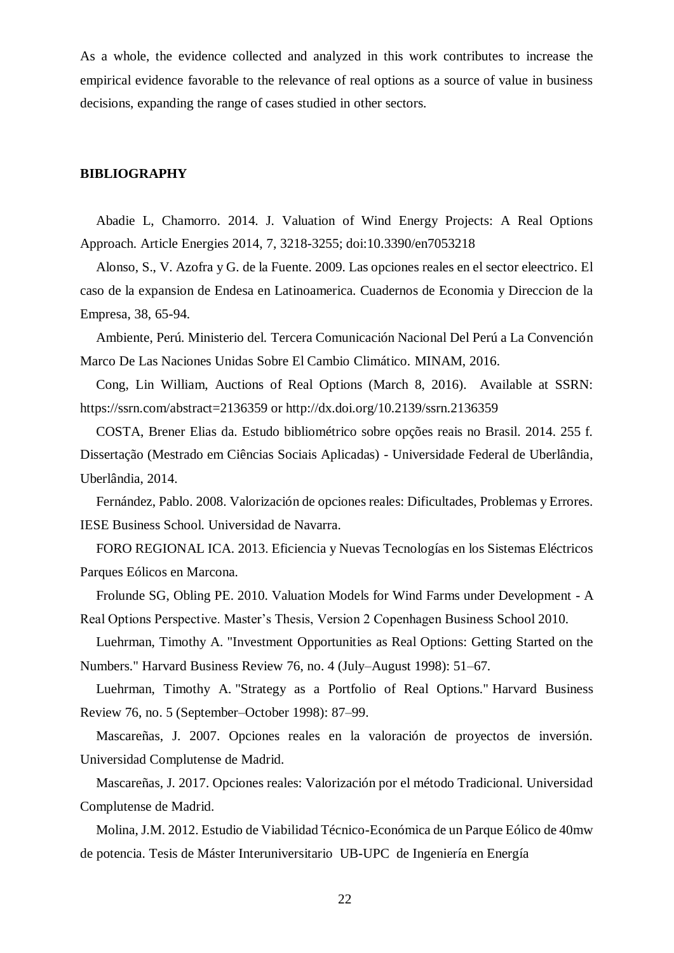As a whole, the evidence collected and analyzed in this work contributes to increase the empirical evidence favorable to the relevance of real options as a source of value in business decisions, expanding the range of cases studied in other sectors.

### **BIBLIOGRAPHY**

Abadie L, Chamorro. 2014. J. Valuation of Wind Energy Projects: A Real Options Approach. Article Energies 2014, 7, 3218-3255; doi:10.3390/en7053218

Alonso, S., V. Azofra y G. de la Fuente. 2009. Las opciones reales en el sector eleectrico. El caso de la expansion de Endesa en Latinoamerica. Cuadernos de Economia y Direccion de la Empresa, 38, 65-94.

Ambiente, Perú. Ministerio del. Tercera Comunicación Nacional Del Perú a La Convención Marco De Las Naciones Unidas Sobre El Cambio Climático. MINAM, 2016.

Cong, Lin William, Auctions of Real Options (March 8, 2016). Available at SSRN: https://ssrn.com/abstract=2136359 or http://dx.doi.org/10.2139/ssrn.2136359

COSTA, Brener Elias da. Estudo bibliométrico sobre opções reais no Brasil. 2014. 255 f. Dissertação (Mestrado em Ciências Sociais Aplicadas) - Universidade Federal de Uberlândia, Uberlândia, 2014.

Fernández, Pablo. 2008. Valorización de opciones reales: Dificultades, Problemas y Errores. IESE Business School. Universidad de Navarra.

FORO REGIONAL ICA. 2013. Eficiencia y Nuevas Tecnologías en los Sistemas Eléctricos Parques Eólicos en Marcona.

Frolunde SG, Obling PE. 2010. Valuation Models for Wind Farms under Development - A Real Options Perspective. Master's Thesis, Version 2 Copenhagen Business School 2010.

Luehrman, Timothy A. ["Investment Opportunities as Real Options: Getting Started on the](http://www.hbs.edu/faculty/product/18533)  [Numbers."](http://www.hbs.edu/faculty/product/18533) Harvard Business Review 76, no. 4 (July–August 1998): 51–67.

Luehrman, Timothy A. ["Strategy as a Portfolio of Real Options."](http://www.hbs.edu/faculty/product/18530) Harvard Business Review 76, no. 5 (September–October 1998): 87–99.

Mascareñas, J. 2007. Opciones reales en la valoración de proyectos de inversión. Universidad Complutense de Madrid.

Mascareñas, J. 2017. Opciones reales: Valorización por el método Tradicional. Universidad Complutense de Madrid.

Molina, J.M. 2012. Estudio de Viabilidad Técnico-Económica de un Parque Eólico de 40mw de potencia. Tesis de Máster Interuniversitario UB-UPC de Ingeniería en Energía